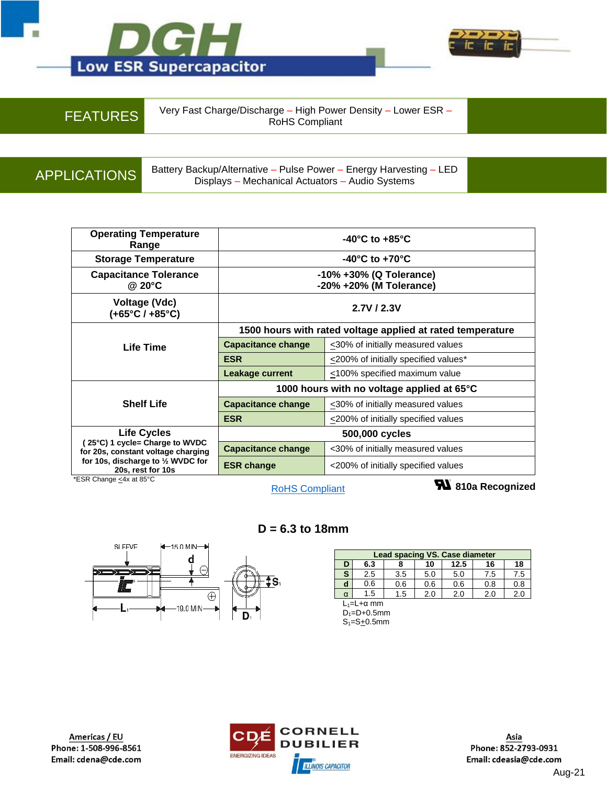



FEATURES Very Fast Charge/Discharge – High Power Density – Lower ESR – RoHS Compliant

APPLICATIONS Battery Backup/Alternative – Pulse Power – Energy Harvesting – LED Displays – Mechanical Actuators – Audio Systems

| <b>Operating Temperature</b><br>Range                                                             | $-40^{\circ}$ C to $+85^{\circ}$ C                         |                                            |  |  |  |  |
|---------------------------------------------------------------------------------------------------|------------------------------------------------------------|--------------------------------------------|--|--|--|--|
| <b>Storage Temperature</b>                                                                        | $-40^{\circ}$ C to $+70^{\circ}$ C                         |                                            |  |  |  |  |
| <b>Capacitance Tolerance</b><br>@ 20 $\degree$ C                                                  | -10% +30% (Q Tolerance)<br>-20% +20% (M Tolerance)         |                                            |  |  |  |  |
| Voltage (Vdc)<br>$(+65^{\circ}C/ +85^{\circ}C)$                                                   | 2.7V/2.3V                                                  |                                            |  |  |  |  |
|                                                                                                   | 1500 hours with rated voltage applied at rated temperature |                                            |  |  |  |  |
| Life Time                                                                                         | <b>Capacitance change</b>                                  | $\leq$ 30% of initially measured values    |  |  |  |  |
|                                                                                                   | <b>ESR</b>                                                 | $\leq$ 200% of initially specified values* |  |  |  |  |
|                                                                                                   | <b>Leakage current</b>                                     | <100% specified maximum value              |  |  |  |  |
|                                                                                                   | 1000 hours with no voltage applied at 65°C                 |                                            |  |  |  |  |
| <b>Shelf Life</b>                                                                                 | <b>Capacitance change</b>                                  | <30% of initially measured values          |  |  |  |  |
|                                                                                                   | <b>ESR</b>                                                 | $\leq$ 200% of initially specified values  |  |  |  |  |
| <b>Life Cycles</b>                                                                                | 500,000 cycles                                             |                                            |  |  |  |  |
| 25°C) 1 cycle= Charge to WVDC<br>for 20s, constant voltage charging                               | <b>Capacitance change</b>                                  | <30% of initially measured values          |  |  |  |  |
| for 10s, discharge to 1/2 WVDC for<br>20s, rest for 10s<br>$-$<br>$\cdot$ $\cdot$ $\cdot$ $\cdot$ | <b>ESR change</b>                                          | <200% of initially specified values        |  |  |  |  |

\*ESR Change <u><</u>4x at 85°C

[RoHS Compliant](https://www.cde.com/product-compliance)

**810a Recognized**



## **D = 6.3 to 18mm**

| Lead spacing VS. Case diameter |                         |     |     |     |     |     |  |  |  |  |
|--------------------------------|-------------------------|-----|-----|-----|-----|-----|--|--|--|--|
| D                              | 12.5<br>6.3<br>10<br>16 |     |     |     |     |     |  |  |  |  |
| S                              | 2.5                     | 3.5 | 5.0 | 5.0 | 7.5 | 7.5 |  |  |  |  |
| d                              | 0.6                     | 0.6 | 0.6 | 0.6 | 0.8 | 0.8 |  |  |  |  |
| α                              | 1.5                     | 1.5 | 2.0 | 2.0 | 2.0 | 2.0 |  |  |  |  |
| $L_1=L+\alpha$ mm              |                         |     |     |     |     |     |  |  |  |  |

 $D_1 = D + 0.5$ mm  $S_1 = S_1 = 0.5$ mm

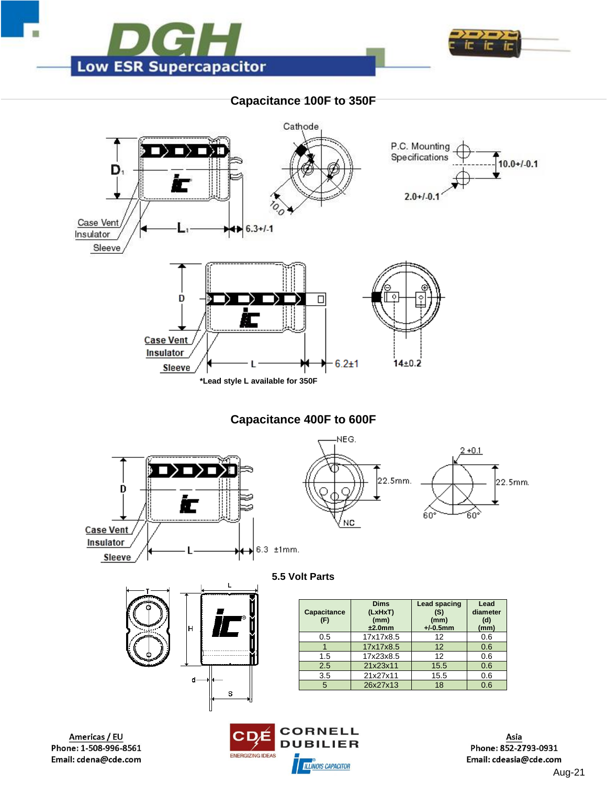



## **Capacitance 100F to 350F**





Asia Phone: 852-2793-0931 Email: cdeasia@cde.com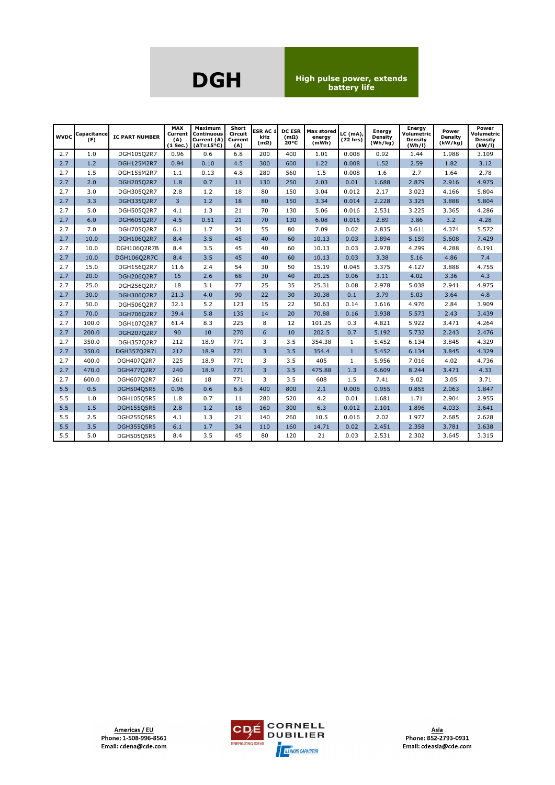**DGH High pulse power, extends battery life**

|     | <b>WVDC</b> Capacitance<br>(F) | <b>IC PART NUMBER</b> | <b>MAX</b><br>Current<br>(A)<br>$(1$ Sec.) | Maximum<br><b>Continuous</b><br>Current (A)<br>$(\Delta T = 15^{\circ}C)$ | Short<br><b>Circuit</b><br>Current<br>(A) | <b>ESRAC1</b><br>kHz<br>$(m\Omega)$ | <b>DC ESR</b><br>$(m\Omega)$<br>$20^{\circ}$ C | <b>Max stored</b><br>enerav<br>(mWh) | LC (mA),<br>(72 hrs) | <b>Energy</b><br>Density<br>(Wh/kg) | Energy<br>Volumetric<br>Density<br>(Wh/l) | Power<br>Density<br>(kW/kg) | Power<br>Volumetric<br><b>Density</b><br>(kW/I) |
|-----|--------------------------------|-----------------------|--------------------------------------------|---------------------------------------------------------------------------|-------------------------------------------|-------------------------------------|------------------------------------------------|--------------------------------------|----------------------|-------------------------------------|-------------------------------------------|-----------------------------|-------------------------------------------------|
| 2.7 | 1.0                            | DGH105Q2R7            | 0.96                                       | 0.6                                                                       | 6.8                                       | 200                                 | 400                                            | 1.01                                 | 0.008                | 0.92                                | 1.44                                      | 1.988                       | 3.109                                           |
| 2.7 | 1.2                            | <b>DGH125M2R7</b>     | 0.94                                       | 0.10                                                                      | 4.5                                       | 300                                 | 600                                            | 1.22                                 | 0.008                | 1.52                                | 2.59                                      | 1.82                        | 3.12                                            |
| 2.7 | 1.5                            | DGH155M2R7            | 1.1                                        | 0.13                                                                      | 4.8                                       | 280                                 | 560                                            | 1.5                                  | 0.008                | 1.6                                 | 2.7                                       | 1.64                        | 2.78                                            |
| 2.7 | 2.0                            | DGH205Q2R7            | 1.8                                        | 0.7                                                                       | 11                                        | 130                                 | 250                                            | 2.03                                 | 0.01                 | 1.688                               | 2.879                                     | 2.916                       | 4.975                                           |
| 2.7 | 3.0                            | DGH305Q2R7            | 2.8                                        | 1.2                                                                       | 18                                        | 80                                  | 150                                            | 3.04                                 | 0.012                | 2.17                                | 3.023                                     | 4.166                       | 5.804                                           |
| 2.7 | 3.3                            | DGH335Q2R7            | 3                                          | 1.2                                                                       | 18                                        | 80                                  | 150                                            | 3.34                                 | 0.014                | 2.228                               | 3.325                                     | 3.888                       | 5.804                                           |
| 2.7 | 5.0                            | DGH505Q2R7            | 4.1                                        | 1.3                                                                       | 21                                        | 70                                  | 130                                            | 5.06                                 | 0.016                | 2.531                               | 3.225                                     | 3.365                       | 4.286                                           |
| 2.7 | 6.0                            | DGH605O2R7            | 4.5                                        | 0.51                                                                      | 21                                        | 70                                  | 130                                            | 6.08                                 | 0.016                | 2.89                                | 3.86                                      | 3.2                         | 4.28                                            |
| 2.7 | 7.0                            | DGH705Q2R7            | 6.1                                        | 1.7                                                                       | 34                                        | 55                                  | 80                                             | 7.09                                 | 0.02                 | 2.835                               | 3.611                                     | 4.374                       | 5.572                                           |
| 2.7 | 10.0                           | DGH106Q2R7            | 8.4                                        | 3.5                                                                       | 45                                        | 40                                  | 60                                             | 10.13                                | 0.03                 | 3.894                               | 5.159                                     | 5.608                       | 7.429                                           |
| 2.7 | 10.0                           | DGH106Q2R7B           | 8.4                                        | 3.5                                                                       | 45                                        | 40                                  | 60                                             | 10.13                                | 0.03                 | 2.978                               | 4.299                                     | 4.288                       | 6.191                                           |
| 2.7 | 10.0                           | DGH106Q2R7C           | 8.4                                        | 3.5                                                                       | 45                                        | 40                                  | 60                                             | 10.13                                | 0.03                 | 3.38                                | 5.16                                      | 4.86                        | 7.4                                             |
| 2.7 | 15.0                           | DGH156Q2R7            | 11.6                                       | 2.4                                                                       | 54                                        | 30                                  | 50                                             | 15.19                                | 0.045                | 3.375                               | 4.127                                     | 3.888                       | 4.755                                           |
| 2.7 | 20.0                           | DGH206Q2R7            | 15                                         | 2.6                                                                       | 68                                        | 30                                  | 40                                             | 20.25                                | 0.06                 | 3.11                                | 4.02                                      | 3.36                        | 4.3                                             |
| 2.7 | 25.0                           | DGH256Q2R7            | 18                                         | 3.1                                                                       | 77                                        | 25                                  | 35                                             | 25.31                                | 0.08                 | 2.978                               | 5.038                                     | 2.941                       | 4.975                                           |
| 2.7 | 30.0                           | DGH306Q2R7            | 21.3                                       | 4.0                                                                       | 90                                        | 22                                  | 30                                             | 30.38                                | 0.1                  | 3.79                                | 5.03                                      | 3.64                        | 4.8                                             |
| 2.7 | 50.0                           | DGH506Q2R7            | 32.1                                       | 5.2                                                                       | 123                                       | 15                                  | 22                                             | 50.63                                | 0.14                 | 3.616                               | 4.976                                     | 2.84                        | 3.909                                           |
| 2.7 | 70.0                           | DGH706Q2R7            | 39.4                                       | 5.8                                                                       | 135                                       | 14                                  | 20                                             | 70.88                                | 0.16                 | 3.938                               | 5.573                                     | 2.43                        | 3.439                                           |
| 2.7 | 100.0                          | DGH107Q2R7            | 61.4                                       | 8.3                                                                       | 225                                       | 8                                   | 12                                             | 101.25                               | 0.3                  | 4.821                               | 5.922                                     | 3.471                       | 4.264                                           |
| 2.7 | 200.0                          | DGH207Q2R7            | 90                                         | 10                                                                        | 270                                       | 6                                   | 10                                             | 202.5                                | 0.7                  | 5.192                               | 5.732                                     | 2.243                       | 2.476                                           |
| 2.7 | 350.0                          | DGH357Q2R7            | 212                                        | 18.9                                                                      | 771                                       | 3                                   | 3.5                                            | 354.38                               | $\mathbf{1}$         | 5.452                               | 6.134                                     | 3.845                       | 4.329                                           |
| 2.7 | 350.0                          | DGH357Q2R7L           | 212                                        | 18.9                                                                      | 771                                       | $\overline{3}$                      | 3.5                                            | 354.4                                | $\mathbf{1}$         | 5.452                               | 6.134                                     | 3.845                       | 4.329                                           |
| 2.7 | 400.0                          | DGH407Q2R7            | 225                                        | 18.9                                                                      | 771                                       | 3                                   | 3.5                                            | 405                                  | $\mathbf{1}$         | 5.956                               | 7.016                                     | 4.02                        | 4.736                                           |
| 2.7 | 470.0                          | <b>DGH477Q2R7</b>     | 240                                        | 18.9                                                                      | 771                                       | $\overline{3}$                      | 3.5                                            | 475.88                               | 1.3                  | 6.609                               | 8.244                                     | 3.471                       | 4.33                                            |
| 2.7 | 600.0                          | DGH607Q2R7            | 261                                        | 18                                                                        | 771                                       | 3                                   | 3.5                                            | 608                                  | 1.5                  | 7.41                                | 9.02                                      | 3.05                        | 3.71                                            |
| 5.5 | 0.5                            | DGH504Q5R5            | 0.96                                       | 0.6                                                                       | 6.8                                       | 400                                 | 800                                            | 2.1                                  | 0.008                | 0.955                               | 0.855                                     | 2.063                       | 1.847                                           |
| 5.5 | 1.0                            | DGH105Q5R5            | 1.8                                        | 0.7                                                                       | 11                                        | 280                                 | 520                                            | 4.2                                  | 0.01                 | 1.681                               | 1.71                                      | 2.904                       | 2.955                                           |
| 5.5 | 1.5                            | <b>DGH155Q5R5</b>     | 2.8                                        | 1.2                                                                       | 18                                        | 160                                 | 300                                            | 6.3                                  | 0.012                | 2.101                               | 1.896                                     | 4.033                       | 3.641                                           |
| 5.5 | 2.5                            | <b>DGH255Q5R5</b>     | 4.1                                        | 1.3                                                                       | 21                                        | 140                                 | 260                                            | 10.5                                 | 0.016                | 2.02                                | 1.977                                     | 2.685                       | 2.628                                           |
| 5.5 | 3.5                            | <b>DGH355Q5R5</b>     | 6.1                                        | 1.7                                                                       | 34                                        | 110                                 | 160                                            | 14.71                                | 0.02                 | 2.451                               | 2.358                                     | 3.781                       | 3.638                                           |
| 5.5 | 5.0                            | DGH505Q5R5            | 8.4                                        | 3.5                                                                       | 45                                        | 80                                  | 120                                            | 21                                   | 0.03                 | 2.531                               | 2.302                                     | 3.645                       | 3.315                                           |